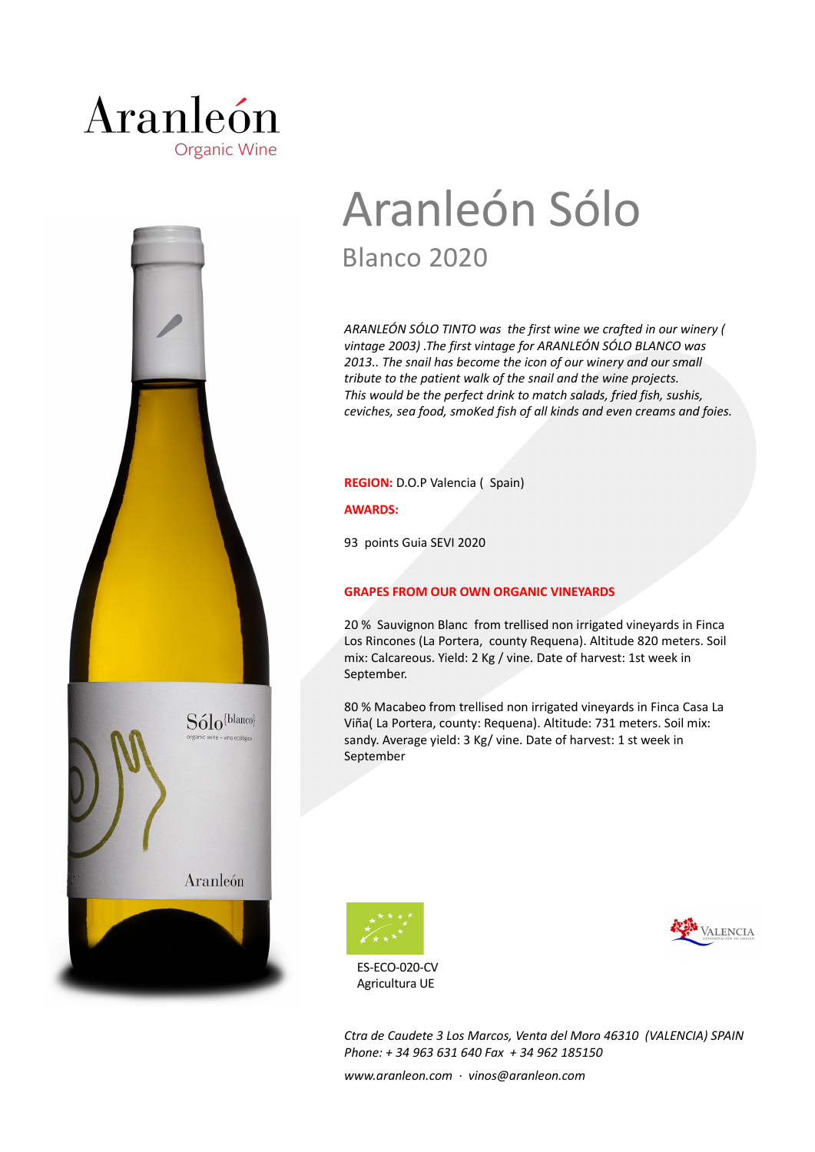



# Aranleón Sólo Blanco 2020

*ARANLEÓN SÓLO TINTO was the first wine we crafted in our winery ( vintage 2003) .The first vintage for ARANLEÓN SÓLO BLANCO was 2013.. The snail has become the icon of our winery and our small tribute to the patient walk of the snail and the wine projects. This would be the perfect drink to match salads, fried fish, sushis, ceviches, sea food, smoKed fish of all kinds and even creams and foies.*

**REGION:** D.O.P Valencia ( Spain)

**AWARDS:**

93 points Guia SEVI 2020

## **GRAPES FROM OUR OWN ORGANIC VINEYARDS**

20 % Sauvignon Blanc from trellised non irrigated vineyards in Finca Los Rincones (La Portera, county Requena). Altitude 820 meters. Soil mix: Calcareous. Yield: 2 Kg / vine. Date of harvest: 1st week in September.

80 % Macabeo from trellised non irrigated vineyards in Finca Casa La Viña( La Portera, county: Requena). Altitude: 731 meters. Soil mix: sandy. Average yield: 3 Kg/ vine. Date of harvest: 1 st week in September



ES-ECO-020-CV Agricultura UE



*Ctra de Caudete 3 Los Marcos, Venta del Moro 46310 (VALENCIA) SPAIN Phone: + 34 963 631 640 Fax + 34 962 185150* 

*www.aranleon.com · vinos@aranleon.com*